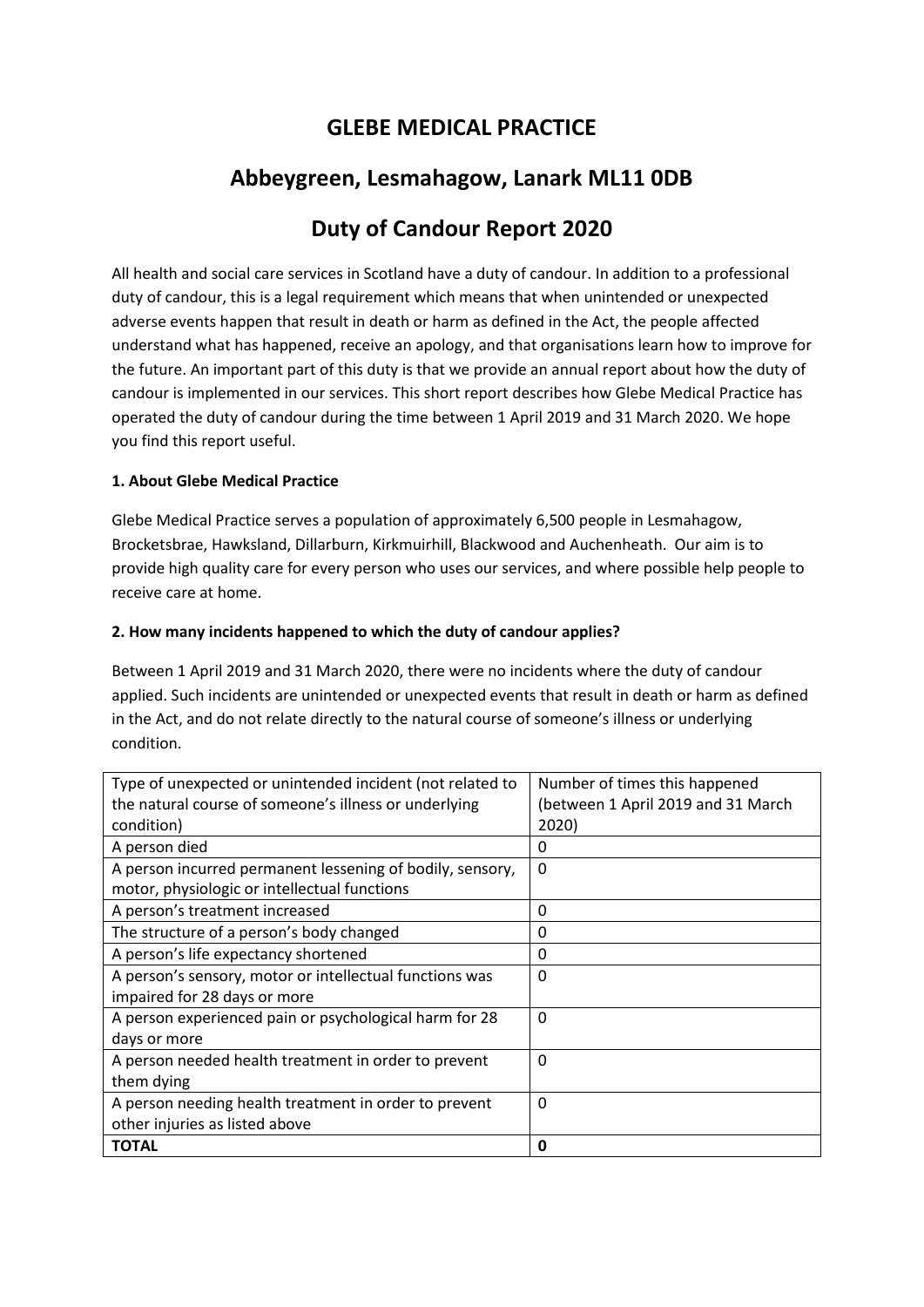## **GLEBE MEDICAL PRACTICE**

## **Abbeygreen, Lesmahagow, Lanark ML11 0DB**

# **Duty of Candour Report 2020**

All health and social care services in Scotland have a duty of candour. In addition to a professional duty of candour, this is a legal requirement which means that when unintended or unexpected adverse events happen that result in death or harm as defined in the Act, the people affected understand what has happened, receive an apology, and that organisations learn how to improve for the future. An important part of this duty is that we provide an annual report about how the duty of candour is implemented in our services. This short report describes how Glebe Medical Practice has operated the duty of candour during the time between 1 April 2019 and 31 March 2020. We hope you find this report useful.

## **1. About Glebe Medical Practice**

Glebe Medical Practice serves a population of approximately 6,500 people in Lesmahagow, Brocketsbrae, Hawksland, Dillarburn, Kirkmuirhill, Blackwood and Auchenheath. Our aim is to provide high quality care for every person who uses our services, and where possible help people to receive care at home.

## **2. How many incidents happened to which the duty of candour applies?**

Between 1 April 2019 and 31 March 2020, there were no incidents where the duty of candour applied. Such incidents are unintended or unexpected events that result in death or harm as defined in the Act, and do not relate directly to the natural course of someone's illness or underlying condition.

| Type of unexpected or unintended incident (not related to | Number of times this happened      |
|-----------------------------------------------------------|------------------------------------|
| the natural course of someone's illness or underlying     | (between 1 April 2019 and 31 March |
| condition)                                                | 2020)                              |
| A person died                                             | 0                                  |
| A person incurred permanent lessening of bodily, sensory, | $\Omega$                           |
| motor, physiologic or intellectual functions              |                                    |
| A person's treatment increased                            | 0                                  |
| The structure of a person's body changed                  | 0                                  |
| A person's life expectancy shortened                      | 0                                  |
| A person's sensory, motor or intellectual functions was   | $\Omega$                           |
| impaired for 28 days or more                              |                                    |
| A person experienced pain or psychological harm for 28    | $\Omega$                           |
| days or more                                              |                                    |
| A person needed health treatment in order to prevent      | $\Omega$                           |
| them dying                                                |                                    |
| A person needing health treatment in order to prevent     | $\Omega$                           |
| other injuries as listed above                            |                                    |
| <b>TOTAL</b>                                              | 0                                  |